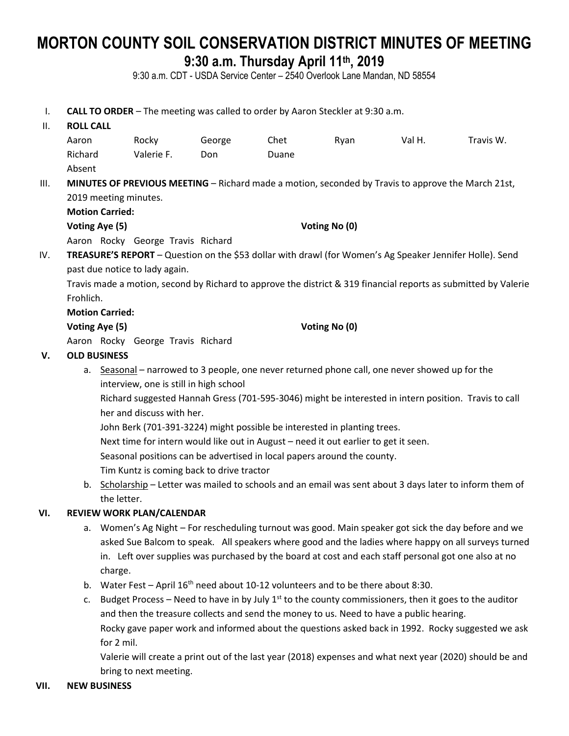# **MORTON COUNTY SOIL CONSERVATION DISTRICT MINUTES OF MEETING 9:30 a.m. Thursday April 11th , 2019**

9:30 a.m. CDT - USDA Service Center – 2540 Overlook Lane Mandan, ND 58554

I. **CALL TO ORDER** – The meeting was called to order by Aaron Steckler at 9:30 a.m.

## II. **ROLL CALL** Aaron Rocky George Chet Ryan Val H. Travis W. Richard Valerie F. Don Duane Absent III. **MINUTES OF PREVIOUS MEETING** – Richard made a motion, seconded by Travis to approve the March 21st, 2019 meeting minutes. **Motion Carried: Voting Aye (5) Voting No (0)** Aaron Rocky George Travis Richard IV. **TREASURE'S REPORT** – Question on the \$53 dollar with drawl (for Women's Ag Speaker Jennifer Holle). Send past due notice to lady again. Travis made a motion, second by Richard to approve the district & 319 financial reports as submitted by Valerie Frohlich. **Motion Carried: Voting Aye (5) Voting No (0)** Aaron Rocky George Travis Richard **V. OLD BUSINESS** a. Seasonal – narrowed to 3 people, one never returned phone call, one never showed up for the

interview, one is still in high school

Richard suggested Hannah Gress (701-595-3046) might be interested in intern position. Travis to call her and discuss with her.

John Berk (701-391-3224) might possible be interested in planting trees.

Next time for intern would like out in August – need it out earlier to get it seen.

Seasonal positions can be advertised in local papers around the county.

Tim Kuntz is coming back to drive tractor

b. Scholarship – Letter was mailed to schools and an email was sent about 3 days later to inform them of the letter.

### **VI. REVIEW WORK PLAN/CALENDAR**

- a. Women's Ag Night For rescheduling turnout was good. Main speaker got sick the day before and we asked Sue Balcom to speak. All speakers where good and the ladies where happy on all surveys turned in. Left over supplies was purchased by the board at cost and each staff personal got one also at no charge.
- b. Water Fest April  $16<sup>th</sup>$  need about 10-12 volunteers and to be there about 8:30.
- c. Budget Process Need to have in by July  $1<sup>st</sup>$  to the county commissioners, then it goes to the auditor and then the treasure collects and send the money to us. Need to have a public hearing. Rocky gave paper work and informed about the questions asked back in 1992. Rocky suggested we ask for 2 mil.

Valerie will create a print out of the last year (2018) expenses and what next year (2020) should be and bring to next meeting.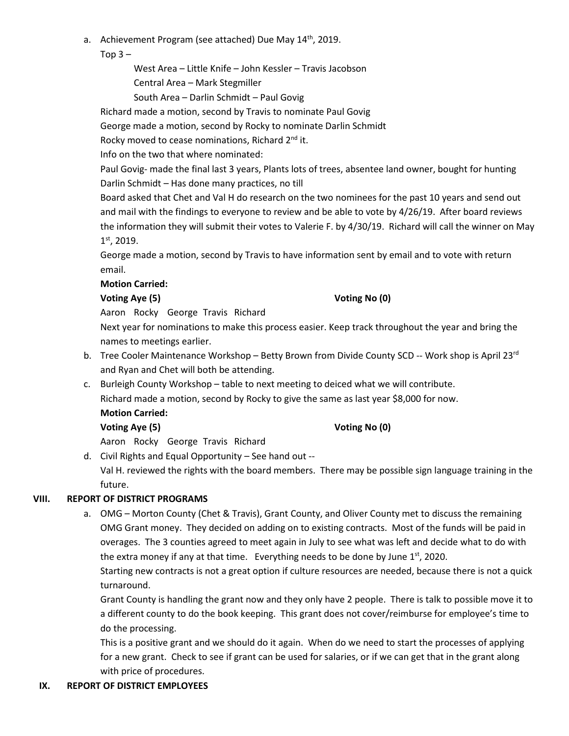a. Achievement Program (see attached) Due May  $14<sup>th</sup>$ , 2019.

Top  $3 -$ 

West Area – Little Knife – John Kessler – Travis Jacobson

Central Area – Mark Stegmiller

South Area – Darlin Schmidt – Paul Govig

Richard made a motion, second by Travis to nominate Paul Govig

George made a motion, second by Rocky to nominate Darlin Schmidt

Rocky moved to cease nominations, Richard 2<sup>nd</sup> it.

Info on the two that where nominated:

Paul Govig- made the final last 3 years, Plants lots of trees, absentee land owner, bought for hunting Darlin Schmidt – Has done many practices, no till

Board asked that Chet and Val H do research on the two nominees for the past 10 years and send out and mail with the findings to everyone to review and be able to vote by 4/26/19. After board reviews the information they will submit their votes to Valerie F. by 4/30/19. Richard will call the winner on May 1 st, 2019.

George made a motion, second by Travis to have information sent by email and to vote with return email.

### **Motion Carried:**

### **Voting Aye (5) Voting No (0)**

Aaron Rocky George Travis Richard

Next year for nominations to make this process easier. Keep track throughout the year and bring the names to meetings earlier.

- b. Tree Cooler Maintenance Workshop Betty Brown from Divide County SCD -- Work shop is April 23<sup>rd</sup> and Ryan and Chet will both be attending.
- c. Burleigh County Workshop table to next meeting to deiced what we will contribute. Richard made a motion, second by Rocky to give the same as last year \$8,000 for now. **Motion Carried:**

### **Voting Aye (5) Voting No (0)**

Aaron Rocky George Travis Richard

d. Civil Rights and Equal Opportunity – See hand out --

Val H. reviewed the rights with the board members. There may be possible sign language training in the future.

### **VIII. REPORT OF DISTRICT PROGRAMS**

a. OMG – Morton County (Chet & Travis), Grant County, and Oliver County met to discuss the remaining OMG Grant money. They decided on adding on to existing contracts. Most of the funds will be paid in overages. The 3 counties agreed to meet again in July to see what was left and decide what to do with the extra money if any at that time. Everything needs to be done by June  $1<sup>st</sup>$ , 2020.

Starting new contracts is not a great option if culture resources are needed, because there is not a quick turnaround.

Grant County is handling the grant now and they only have 2 people. There is talk to possible move it to a different county to do the book keeping. This grant does not cover/reimburse for employee's time to do the processing.

This is a positive grant and we should do it again. When do we need to start the processes of applying for a new grant. Check to see if grant can be used for salaries, or if we can get that in the grant along with price of procedures.

### **IX. REPORT OF DISTRICT EMPLOYEES**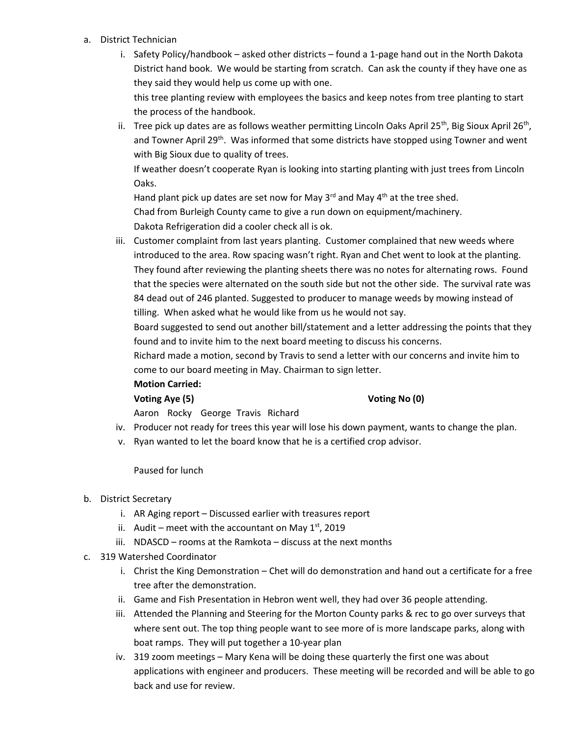- a. District Technician
	- i. Safety Policy/handbook asked other districts found a 1-page hand out in the North Dakota District hand book. We would be starting from scratch. Can ask the county if they have one as they said they would help us come up with one. this tree planting review with employees the basics and keep notes from tree planting to start the process of the handbook.
	- ii. Tree pick up dates are as follows weather permitting Lincoln Oaks April 25<sup>th</sup>, Big Sioux April 26<sup>th</sup>, and Towner April 29<sup>th</sup>. Was informed that some districts have stopped using Towner and went with Big Sioux due to quality of trees.

If weather doesn't cooperate Ryan is looking into starting planting with just trees from Lincoln Oaks.

Hand plant pick up dates are set now for May  $3^{rd}$  and May  $4^{th}$  at the tree shed. Chad from Burleigh County came to give a run down on equipment/machinery. Dakota Refrigeration did a cooler check all is ok.

iii. Customer complaint from last years planting. Customer complained that new weeds where introduced to the area. Row spacing wasn't right. Ryan and Chet went to look at the planting. They found after reviewing the planting sheets there was no notes for alternating rows. Found that the species were alternated on the south side but not the other side. The survival rate was 84 dead out of 246 planted. Suggested to producer to manage weeds by mowing instead of tilling. When asked what he would like from us he would not say.

Board suggested to send out another bill/statement and a letter addressing the points that they found and to invite him to the next board meeting to discuss his concerns.

Richard made a motion, second by Travis to send a letter with our concerns and invite him to come to our board meeting in May. Chairman to sign letter.

### **Motion Carried:**

### **Voting Aye (5) Voting No (0)**

Aaron Rocky George Travis Richard

- iv. Producer not ready for trees this year will lose his down payment, wants to change the plan.
- v. Ryan wanted to let the board know that he is a certified crop advisor.

### Paused for lunch

### b. District Secretary

- i. AR Aging report Discussed earlier with treasures report
- ii. Audit meet with the accountant on May  $1<sup>st</sup>$ , 2019
- iii. NDASCD rooms at the Ramkota discuss at the next months
- c. 319 Watershed Coordinator
	- i. Christ the King Demonstration Chet will do demonstration and hand out a certificate for a free tree after the demonstration.
	- ii. Game and Fish Presentation in Hebron went well, they had over 36 people attending.
	- iii. Attended the Planning and Steering for the Morton County parks & rec to go over surveys that where sent out. The top thing people want to see more of is more landscape parks, along with boat ramps. They will put together a 10-year plan
	- iv. 319 zoom meetings Mary Kena will be doing these quarterly the first one was about applications with engineer and producers. These meeting will be recorded and will be able to go back and use for review.